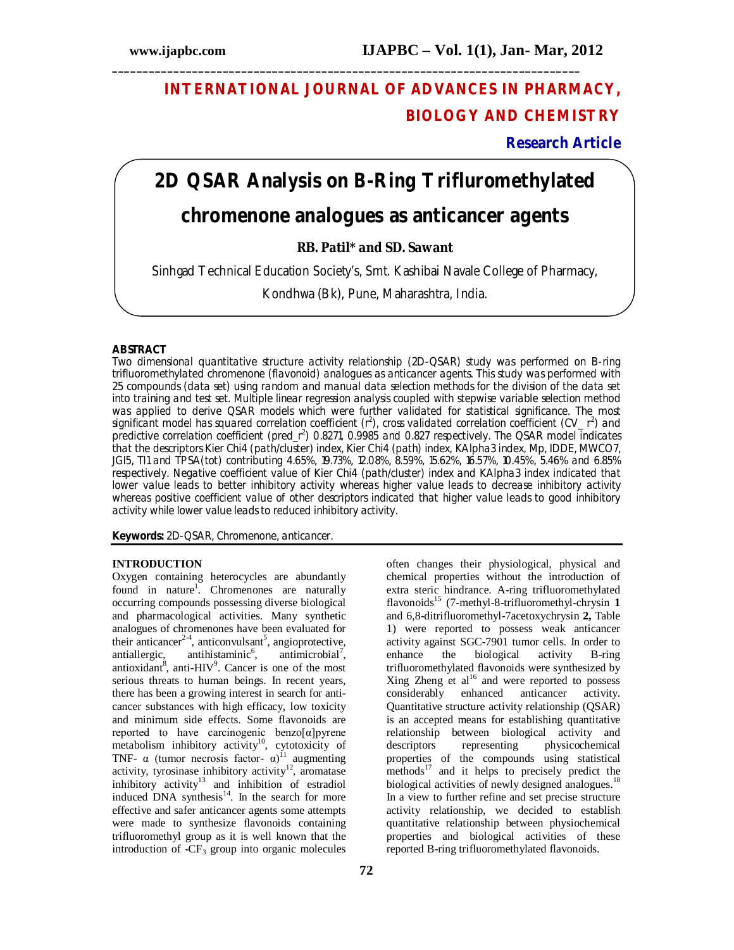## **INTERNATIONAL JOURNAL OF ADVANCES IN PHARMACY, BIOLOGY AND CHEMISTRY**

**\_\_\_\_\_\_\_\_\_\_\_\_\_\_\_\_\_\_\_\_\_\_\_\_\_\_\_\_\_\_\_\_\_\_\_\_\_\_\_\_\_\_\_\_\_\_\_\_\_\_\_\_\_\_\_\_\_\_\_\_\_\_\_\_\_\_\_\_\_\_\_\_\_\_\_\_**

**Research Article**

# **2D QSAR Analysis on B-Ring Trifluromethylated**

## **chromenone analogues as anticancer agents**

**RB. Patil\* and SD. Sawant**

Sinhgad Technical Education Society's, Smt. Kashibai Navale College of Pharmacy,

Kondhwa (Bk), Pune, Maharashtra, India.

#### **ABSTRACT**

Two dimensional quantitative structure activity relationship (2D-QSAR) study was performed on B-ring trifluoromethylated chromenone (flavonoid) analogues as anticancer agents. This study was performed with 25 compounds (data set) using random and manual data selection methods for the division of the data set into training and test set. Multiple linear regression analysis coupled with stepwise variable selection method was applied to derive QSAR models which were further validated for statistical significance. The most significant model has squared correlation coefficient ( $r^2$ ), cross validated correlation coefficient (CV\_ $r^2$ ) and predictive correlation coefficient (pred\_r<sup>2</sup>) 0.8271, 0.9985 and 0.827 respectively. The QSAR model indicates that the descriptors Kier Chi4 (path/cluster) index, Kier Chi4 (path) index, KAlpha3 index, Mp, IDDE, MWCO7, JGI5, TI1 and TPSA(tot) contributing 4.65%, 19.73%, 12.08%, 8.59%, 15.62%, 16.57%, 10.45%, 5.46% and 6.85% respectively. Negative coefficient value of Kier Chi4 (path/cluster) index and KAlpha3 index indicated that lower value leads to better inhibitory activity whereas higher value leads to decrease inhibitory activity whereas positive coefficient value of other descriptors indicated that higher value leads to good inhibitory activity while lower value leads to reduced inhibitory activity.

**Keywords:** 2D-QSAR, Chromenone, anticancer.

#### **INTRODUCTION**

Oxygen containing heterocycles are abundantly found in nature<sup>1</sup>. Chromenones are naturally occurring compounds possessing diverse biological and pharmacological activities. Many synthetic analogues of chromenones have been evaluated for their anticancer<sup>2-4</sup>, anticonvulsant<sup>5</sup>, angioprotective, antiallergic, antihistaminic,  $,$  antimicrobial<sup>7</sup>, antioxidant<sup>8</sup>, anti-HIV<sup>9</sup>. Cancer is one of the most serious threats to human beings. In recent years, there has been a growing interest in search for anticancer substances with high efficacy, low toxicity and minimum side effects. Some flavonoids are reported to have carcinogenic benzo[α]pyrene metabolism inhibitory activity<sup>10</sup>, cytotoxicity of TNF-  $\alpha$  (tumor necrosis factor-  $\alpha$ )<sup>11</sup> augmenting activity, tyrosinase inhibitory activity<sup>12</sup>, aromatase inhibitory activity<sup>13</sup> and inhibition of estradiol induced DNA synthesis<sup>14</sup>. In the search for more effective and safer anticancer agents some attempts were made to synthesize flavonoids containing trifluoromethyl group as it is well known that the introduction of  $-CF_3$  group into organic molecules

often changes their physiological, physical and chemical properties without the introduction of extra steric hindrance. A-ring trifluoromethylated flavonoids<sup>15</sup> (7-methyl-8-trifluoromethyl-chrysin **1** and 6,8-ditrifluoromethyl-7acetoxychrysin **2,** Table 1) were reported to possess weak anticancer activity against SGC-7901 tumor cells. In order to<br>enhance the biological activity B-ring enhance the biological activity B-ring trifluoromethylated flavonoids were synthesized by Xing Zheng et  $al^{16}$  and were reported to possess considerably enhanced anticancer activity. Quantitative structure activity relationship (QSAR) is an accepted means for establishing quantitative relationship between biological activity and<br>descriptors representing physicochemical descriptors representing physicochemical properties of the compounds using statistical methods<sup>17</sup> and it helps to precisely predict the biological activities of newly designed analogues.<sup>18</sup> In a view to further refine and set precise structure activity relationship, we decided to establish quantitative relationship between physiochemical properties and biological activities of these reported B-ring trifluoromethylated flavonoids.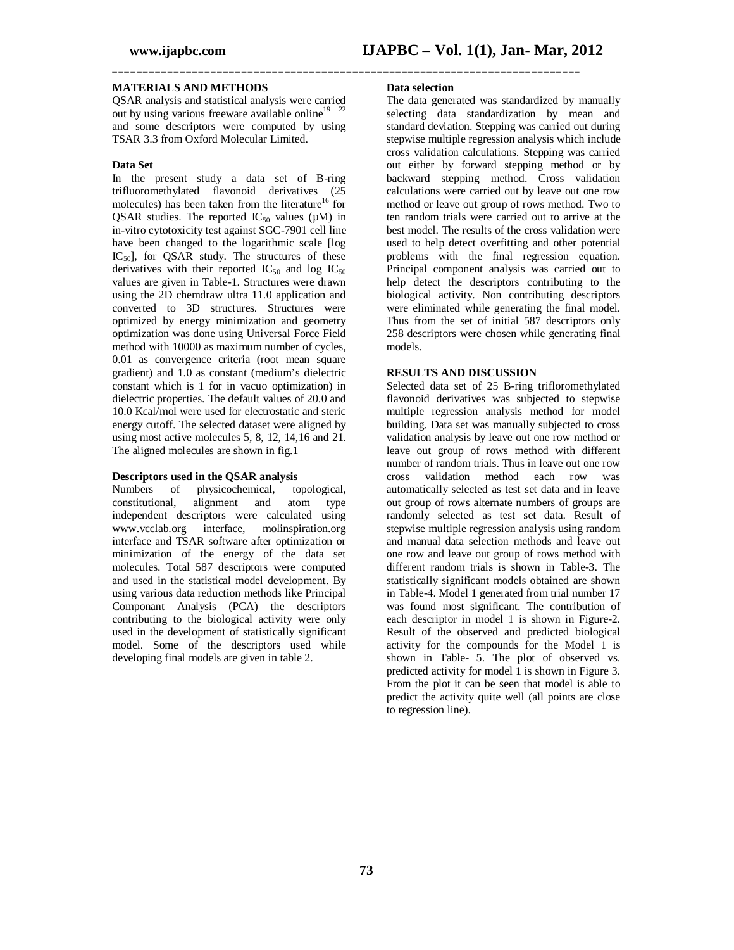#### **MATERIALS AND METHODS**

QSAR analysis and statistical analysis were carried out by using various freeware available online<sup>19 – 22</sup> and some descriptors were computed by using TSAR 3.3 from Oxford Molecular Limited.

#### **Data Set**

In the present study a data set of B-ring trifluoromethylated flavonoid derivatives (25 molecules) has been taken from the literature<sup>16</sup> for QSAR studies. The reported  $IC_{50}$  values ( $\mu$ M) in in-vitro cytotoxicity test against SGC-7901 cell line have been changed to the logarithmic scale [log  $IC_{50}$ , for QSAR study. The structures of these derivatives with their reported  $IC_{50}$  and log  $IC_{50}$ values are given in Table-1. Structures were drawn using the 2D chemdraw ultra 11.0 application and converted to 3D structures. Structures were optimized by energy minimization and geometry optimization was done using Universal Force Field method with 10000 as maximum number of cycles, 0.01 as convergence criteria (root mean square gradient) and 1.0 as constant (medium's dielectric constant which is 1 for in vacuo optimization) in dielectric properties. The default values of 20.0 and 10.0 Kcal/mol were used for electrostatic and steric energy cutoff. The selected dataset were aligned by using most active molecules 5, 8, 12, 14,16 and 21. The aligned molecules are shown in fig.1

#### **Descriptors used in the QSAR analysis**

Numbers of physicochemical, topological, constitutional, alignment and independent descriptors were calculated using www.vcclab.org interface, molinspiration.org interface and TSAR software after optimization or minimization of the energy of the data set molecules. Total 587 descriptors were computed and used in the statistical model development. By using various data reduction methods like Principal Componant Analysis (PCA) the descriptors contributing to the biological activity were only used in the development of statistically significant model. Some of the descriptors used while developing final models are given in table 2.

#### **Data selection**

**\_\_\_\_\_\_\_\_\_\_\_\_\_\_\_\_\_\_\_\_\_\_\_\_\_\_\_\_\_\_\_\_\_\_\_\_\_\_\_\_\_\_\_\_\_\_\_\_\_\_\_\_\_\_\_\_\_\_\_\_\_\_\_\_\_\_\_\_\_\_\_\_\_\_\_\_**

The data generated was standardized by manually selecting data standardization by mean and standard deviation. Stepping was carried out during stepwise multiple regression analysis which include cross validation calculations. Stepping was carried out either by forward stepping method or by backward stepping method. Cross validation calculations were carried out by leave out one row method or leave out group of rows method. Two to ten random trials were carried out to arrive at the best model. The results of the cross validation were used to help detect overfitting and other potential problems with the final regression equation. Principal component analysis was carried out to help detect the descriptors contributing to the biological activity. Non contributing descriptors were eliminated while generating the final model. Thus from the set of initial 587 descriptors only 258 descriptors were chosen while generating final models.

#### **RESULTS AND DISCUSSION**

Selected data set of 25 B-ring trifloromethylated flavonoid derivatives was subjected to stepwise multiple regression analysis method for model building. Data set was manually subjected to cross validation analysis by leave out one row method or leave out group of rows method with different number of random trials. Thus in leave out one row cross validation method each row was automatically selected as test set data and in leave out group of rows alternate numbers of groups are randomly selected as test set data. Result of stepwise multiple regression analysis using random and manual data selection methods and leave out one row and leave out group of rows method with different random trials is shown in Table-3. The statistically significant models obtained are shown in Table-4. Model 1 generated from trial number 17 was found most significant. The contribution of each descriptor in model 1 is shown in Figure-2. Result of the observed and predicted biological activity for the compounds for the Model 1 is shown in Table- 5. The plot of observed vs. predicted activity for model 1 is shown in Figure 3. From the plot it can be seen that model is able to predict the activity quite well (all points are close to regression line).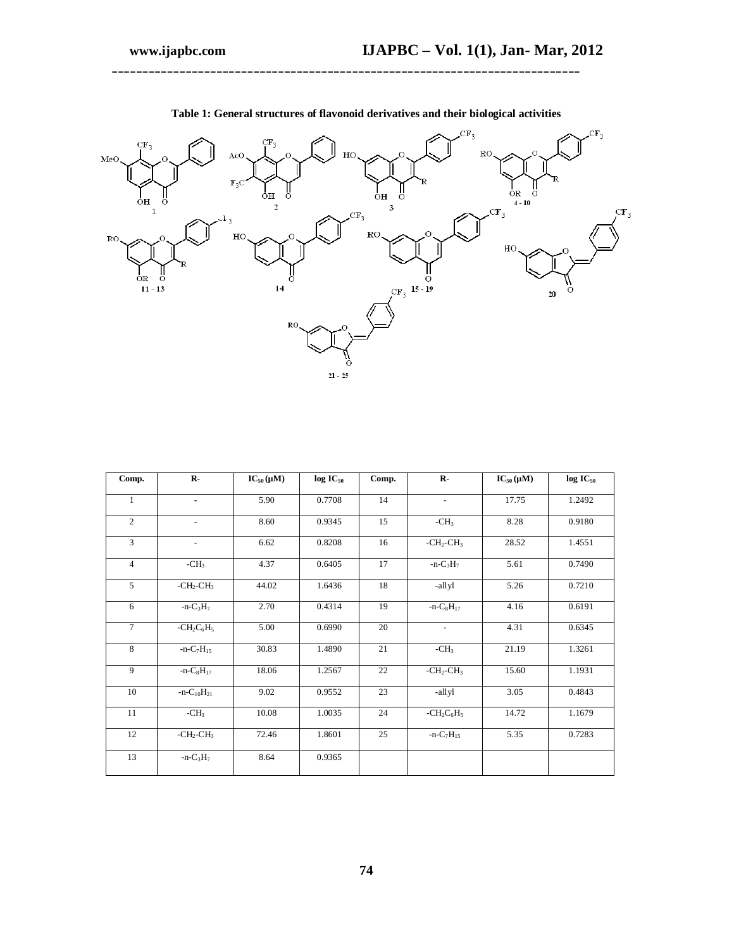

**Table 1: General structures of flavonoid derivatives and their biological activities**

**\_\_\_\_\_\_\_\_\_\_\_\_\_\_\_\_\_\_\_\_\_\_\_\_\_\_\_\_\_\_\_\_\_\_\_\_\_\_\_\_\_\_\_\_\_\_\_\_\_\_\_\_\_\_\_\_\_\_\_\_\_\_\_\_\_\_\_\_\_\_\_\_\_\_\_\_**

| Comp.          | $\mathbf{R}$ -           | $IC_{50}(\mu M)$ | $log IC_{50}$ | Comp. | $\mathbf{R}$ -           | $IC_{50}(\mu M)$ | $log IC_{50}$ |
|----------------|--------------------------|------------------|---------------|-------|--------------------------|------------------|---------------|
| $\mathbf{1}$   | $\overline{\phantom{a}}$ | 5.90             | 0.7708        | 14    | $\overline{\phantom{a}}$ | 17.75            | 1.2492        |
| $\overline{c}$ | $\overline{\phantom{a}}$ | 8.60             | 0.9345        | 15    | $-CH3$                   | 8.28             | 0.9180        |
| 3              | $\overline{\phantom{a}}$ | 6.62             | 0.8208        | 16    | $-CH_2-CH_3$             | 28.52            | 1.4551        |
| $\overline{4}$ | $-CH3$                   | 4.37             | 0.6405        | 17    | $-n-C_3H_7$              | 5.61             | 0.7490        |
| 5              | $-CH2-CH3$               | 44.02            | 1.6436        | 18    | -allyl                   | 5.26             | 0.7210        |
| 6              | $-n-C_3H_7$              | 2.70             | 0.4314        | 19    | $-n-C_8H_{17}$           | 4.16             | 0.6191        |
| $\overline{7}$ | $-CH_2C_6H_5$            | 5.00             | 0.6990        | 20    | $\blacksquare$           | 4.31             | 0.6345        |
| 8              | $-n-C_7H_{15}$           | 30.83            | 1.4890        | 21    | $-CH3$                   | 21.19            | 1.3261        |
| 9              | $-n-C_8H_{17}$           | 18.06            | 1.2567        | 22    | $-CH_2-CH_3$             | 15.60            | 1.1931        |
| 10             | $-n-C_{10}H_{21}$        | 9.02             | 0.9552        | 23    | -allyl                   | 3.05             | 0.4843        |
| 11             | $-CH3$                   | 10.08            | 1.0035        | 24    | $-CH2C6H5$               | 14.72            | 1.1679        |
| 12             | $-CH2-CH3$               | 72.46            | 1.8601        | 25    | $-n-C_7H_{15}$           | 5.35             | 0.7283        |
| 13             | $-n-C_3H_7$              | 8.64             | 0.9365        |       |                          |                  |               |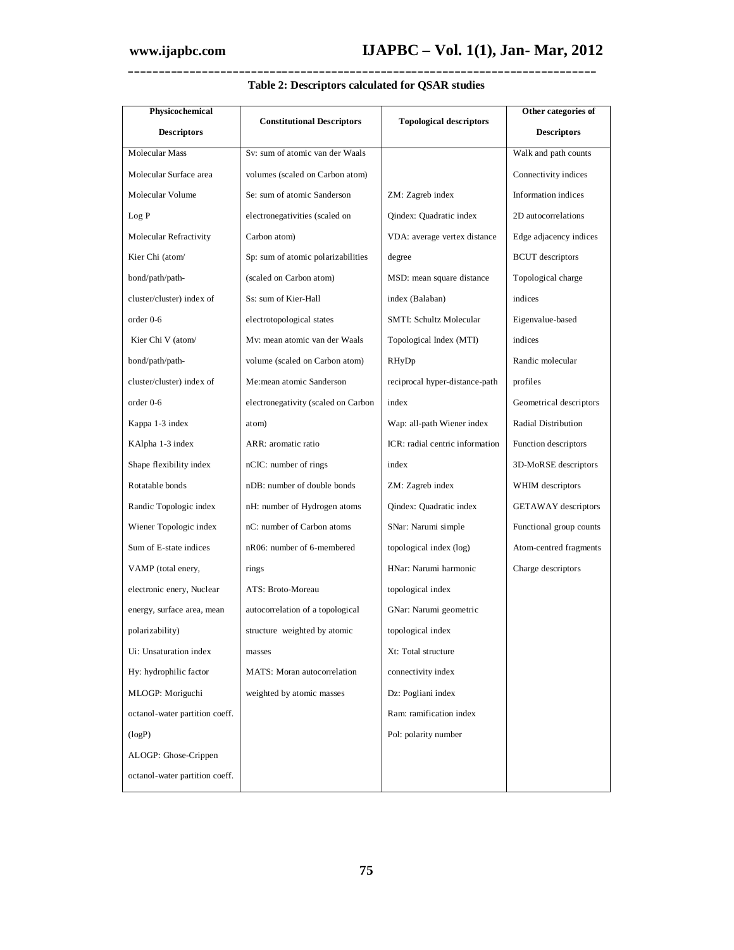| Physicochemical                |                                     |                                 | Other categories of     |  |
|--------------------------------|-------------------------------------|---------------------------------|-------------------------|--|
| <b>Descriptors</b>             | <b>Constitutional Descriptors</b>   | <b>Topological descriptors</b>  | <b>Descriptors</b>      |  |
| Molecular Mass                 | Sv: sum of atomic van der Waals     |                                 | Walk and path counts    |  |
| Molecular Surface area         | volumes (scaled on Carbon atom)     |                                 | Connectivity indices    |  |
| Molecular Volume               | Se: sum of atomic Sanderson         | ZM: Zagreb index                | Information indices     |  |
| Log P                          | electronegativities (scaled on      | Qindex: Quadratic index         | 2D autocorrelations     |  |
| Molecular Refractivity         | Carbon atom)                        | VDA: average vertex distance    | Edge adjacency indices  |  |
| Kier Chi (atom/                | Sp: sum of atomic polarizabilities  | degree                          | <b>BCUT</b> descriptors |  |
| bond/path/path-                | (scaled on Carbon atom)             | MSD: mean square distance       | Topological charge      |  |
| cluster/cluster) index of      | Ss: sum of Kier-Hall                | index (Balaban)                 | indices                 |  |
| order 0-6                      | electrotopological states           | SMTI: Schultz Molecular         | Eigenvalue-based        |  |
| Kier Chi V (atom/              | My: mean atomic van der Waals       | Topological Index (MTI)         | indices                 |  |
| bond/path/path-                | volume (scaled on Carbon atom)      | RHyDp                           | Randic molecular        |  |
| cluster/cluster) index of      | Me:mean atomic Sanderson            | reciprocal hyper-distance-path  | profiles                |  |
| $order 0-6$                    | electronegativity (scaled on Carbon | index                           | Geometrical descriptors |  |
| Kappa 1-3 index                | atom)                               | Wap: all-path Wiener index      | Radial Distribution     |  |
| KAlpha 1-3 index               | ARR: aromatic ratio                 | ICR: radial centric information | Function descriptors    |  |
| Shape flexibility index        | nCIC: number of rings               | index                           | 3D-MoRSE descriptors    |  |
| Rotatable bonds                | nDB: number of double bonds         | ZM: Zagreb index                | WHIM descriptors        |  |
| Randic Topologic index         | nH: number of Hydrogen atoms        | Qindex: Quadratic index         | GETAWAY descriptors     |  |
| Wiener Topologic index         | nC: number of Carbon atoms          | SNar: Narumi simple             | Functional group counts |  |
| Sum of E-state indices         | nR06: number of 6-membered          | topological index (log)         | Atom-centred fragments  |  |
| VAMP (total enery,             | rings                               | HNar: Narumi harmonic           | Charge descriptors      |  |
| electronic enery, Nuclear      | ATS: Broto-Moreau                   | topological index               |                         |  |
| energy, surface area, mean     | autocorrelation of a topological    | GNar: Narumi geometric          |                         |  |
| polarizability)                | structure weighted by atomic        | topological index               |                         |  |
| Ui: Unsaturation index         | masses                              | Xt: Total structure             |                         |  |
| Hy: hydrophilic factor         | MATS: Moran autocorrelation         | connectivity index              |                         |  |
| MLOGP: Moriguchi               | weighted by atomic masses           | Dz: Pogliani index              |                         |  |
| octanol-water partition coeff. |                                     | Ram: ramification index         |                         |  |
| (logP)                         |                                     | Pol: polarity number            |                         |  |
| ALOGP: Ghose-Crippen           |                                     |                                 |                         |  |
| octanol-water partition coeff. |                                     |                                 |                         |  |

### **Table 2: Descriptors calculated for QSAR studies**

**\_\_\_\_\_\_\_\_\_\_\_\_\_\_\_\_\_\_\_\_\_\_\_\_\_\_\_\_\_\_\_\_\_\_\_\_\_\_\_\_\_\_\_\_\_\_\_\_\_\_\_\_\_\_\_\_\_\_\_\_\_\_\_\_\_\_\_\_\_\_\_\_\_\_\_\_**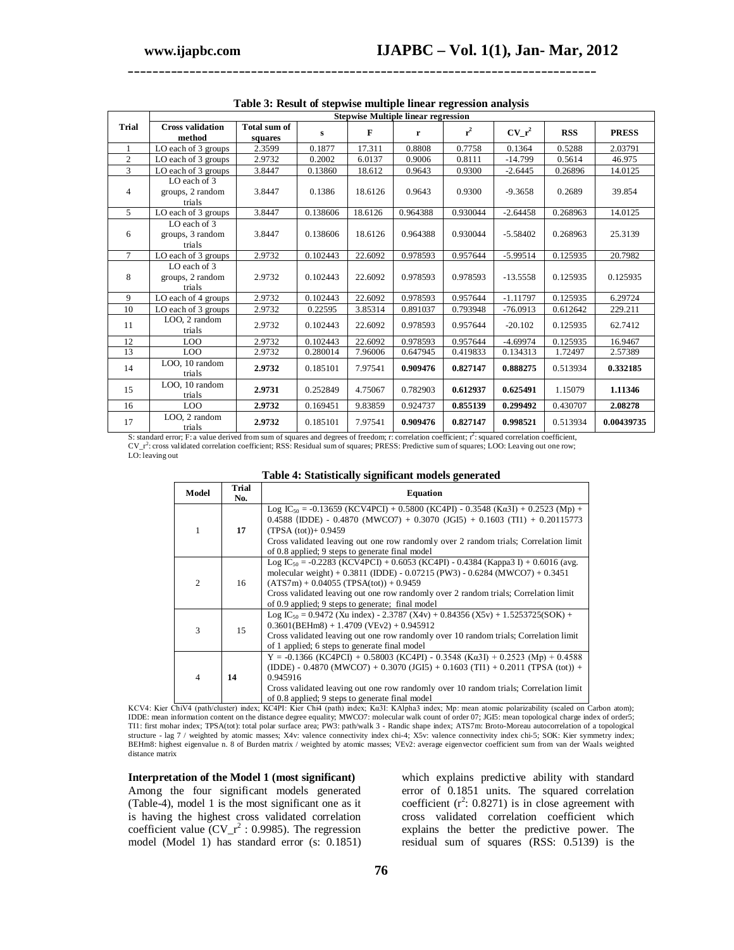|                | <b>Stepwise Multiple linear regression</b> |                         |          |         |          |          |            |            |              |
|----------------|--------------------------------------------|-------------------------|----------|---------|----------|----------|------------|------------|--------------|
| Trial          | <b>Cross validation</b><br>method          | Total sum of<br>squares | s        | F       | r        | $r^2$    | $CV_r^2$   | <b>RSS</b> | <b>PRESS</b> |
| $\overline{1}$ | LO each of 3 groups                        | 2.3599                  | 0.1877   | 17.311  | 0.8808   | 0.7758   | 0.1364     | 0.5288     | 2.03791      |
| 2              | LO each of 3 groups                        | 2.9732                  | 0.2002   | 6.0137  | 0.9006   | 0.8111   | $-14.799$  | 0.5614     | 46.975       |
| 3              | LO each of 3 groups                        | 3.8447                  | 0.13860  | 18.612  | 0.9643   | 0.9300   | $-2.6445$  | 0.26896    | 14.0125      |
| $\overline{4}$ | LO each of 3<br>groups, 2 random<br>trials | 3.8447                  | 0.1386   | 18.6126 | 0.9643   | 0.9300   | $-9.3658$  | 0.2689     | 39.854       |
| $\overline{5}$ | LO each of 3 groups                        | 3.8447                  | 0.138606 | 18.6126 | 0.964388 | 0.930044 | $-2.64458$ | 0.268963   | 14.0125      |
| 6              | LO each of 3<br>groups, 3 random<br>trials | 3.8447                  | 0.138606 | 18.6126 | 0.964388 | 0.930044 | $-5.58402$ | 0.268963   | 25.3139      |
| $\tau$         | LO each of 3 groups                        | 2.9732                  | 0.102443 | 22.6092 | 0.978593 | 0.957644 | $-5.99514$ | 0.125935   | 20.7982      |
| 8              | LO each of 3<br>groups, 2 random<br>trials | 2.9732                  | 0.102443 | 22.6092 | 0.978593 | 0.978593 | $-13.5558$ | 0.125935   | 0.125935     |
| $\overline{9}$ | LO each of 4 groups                        | 2.9732                  | 0.102443 | 22.6092 | 0.978593 | 0.957644 | $-1.11797$ | 0.125935   | 6.29724      |
| 10             | LO each of 3 groups                        | 2.9732                  | 0.22595  | 3.85314 | 0.891037 | 0.793948 | $-76.0913$ | 0.612642   | 229.211      |
| 11             | LOO, 2 random<br>trials                    | 2.9732                  | 0.102443 | 22.6092 | 0.978593 | 0.957644 | $-20.102$  | 0.125935   | 62.7412      |
| 12             | LOO                                        | 2.9732                  | 0.102443 | 22.6092 | 0.978593 | 0.957644 | $-4.69974$ | 0.125935   | 16.9467      |
| 13             | LOO                                        | 2.9732                  | 0.280014 | 7.96006 | 0.647945 | 0.419833 | 0.134313   | 1.72497    | 2.57389      |
| 14             | LOO, 10 random<br>trials                   | 2.9732                  | 0.185101 | 7.97541 | 0.909476 | 0.827147 | 0.888275   | 0.513934   | 0.332185     |
| 15             | LOO, 10 random<br>trials                   | 2.9731                  | 0.252849 | 4.75067 | 0.782903 | 0.612937 | 0.625491   | 1.15079    | 1.11346      |
| 16             | LOO                                        | 2.9732                  | 0.169451 | 9.83859 | 0.924737 | 0.855139 | 0.299492   | 0.430707   | 2.08278      |
| 17             | LOO, 2 random<br>trials                    | 2.9732                  | 0.185101 | 7.97541 | 0.909476 | 0.827147 | 0.998521   | 0.513934   | 0.00439735   |

|  |  |  | Table 3: Result of stepwise multiple linear regression analysis |  |
|--|--|--|-----------------------------------------------------------------|--|
|  |  |  |                                                                 |  |
|  |  |  |                                                                 |  |

S: standard error; F: a value derived from sum of squares and degrees of freedom; r: correlation coefficient;  $r^2$ : squared correlation coefficient,  $CV<sub>-</sub>r<sup>2</sup>$ : cross validated correlation coefficient; RSS: Residual sum of squares; PRESS: Predictive sum of squares; LOO: Leaving out one row; LO: leaving out

| таяк -н элапянсану ядинганы шойск дейстанса |              |                                                                                                                                                                                                                                                                                                                                                                             |  |  |
|---------------------------------------------|--------------|-----------------------------------------------------------------------------------------------------------------------------------------------------------------------------------------------------------------------------------------------------------------------------------------------------------------------------------------------------------------------------|--|--|
| Model                                       | Trial<br>No. | <b>Equation</b>                                                                                                                                                                                                                                                                                                                                                             |  |  |
| 1                                           | 17           | Log IC <sub>50</sub> = -0.13659 (KCV4PCI) + 0.5800 (KC4PI) - 0.3548 (Ka3I) + 0.2523 (Mp) +<br>0.4588 (IDDE) - 0.4870 (MWCO7) + 0.3070 (JGI5) + 0.1603 (TI1) + 0.20115773<br>$(TPSA (tot)) + 0.9459$<br>Cross validated leaving out one row randomly over 2 random trials; Correlation limit<br>of 0.8 applied; 9 steps to generate final model                              |  |  |
| $\overline{2}$                              | 16           | Log IC <sub>50</sub> = -0.2283 (KCV4PCI) + 0.6053 (KC4PI) - 0.4384 (Kappa3 I) + 0.6016 (avg.<br>molecular weight) + $0.3811$ (IDDE) - $0.07215$ (PW3) - $0.6284$ (MWCO7) + $0.3451$<br>$(ATS7m) + 0.04055 (TPSA(tot)) + 0.9459$<br>Cross validated leaving out one row randomly over 2 random trials; Correlation limit<br>of 0.9 applied; 9 steps to generate; final model |  |  |
| 3                                           | 15           | Log IC <sub>50</sub> = 0.9472 (Xu index) - 2.3787 (X4v) + 0.84356 (X5v) + 1.5253725(SOK) +<br>$0.3601(BEHm8) + 1.4709 (VEv2) + 0.945912$<br>Cross validated leaving out one row randomly over 10 random trials; Correlation limit<br>of 1 applied; 6 steps to generate final model                                                                                          |  |  |
| $\overline{4}$                              | 14           | $Y = -0.1366$ (KC4PCI) + 0.58003 (KC4PI) - 0.3548 (K $\alpha$ 3I) + 0.2523 (Mp) + 0.4588<br>(IDDE) - 0.4870 (MWCO7) + 0.3070 (JGI5) + 0.1603 (TI1) + 0.2011 (TPSA (tot)) +<br>0.945916<br>Cross validated leaving out one row randomly over 10 random trials; Correlation limit                                                                                             |  |  |

| Table 4: Statistically significant models generated |  |  |
|-----------------------------------------------------|--|--|
|-----------------------------------------------------|--|--|

Letter and the state of the same of the same of the separate final model<br>KCV4: Kier ChiV4 (path/cluster) index; KC4PI: Kier Chi4 (path) index; Ka31: KAlpha3 index; Mp: mean atomic polarizability (scaled on Carbon atom);<br>ID structure - lag 7 / weighted by atomic masses; X4v: valence connectivity index chi-4; X5v: valence connectivity index chi-5; SOK: Kier symmetry index; BEHm8: highest eigenvalue n. 8 of Burden matrix / weighted by atomic masses; VEv2: average eigenvector coefficient sum from van der Waals weighted distance matrix

#### **Interpretation of the Model 1 (most significant)**

Among the four significant models generated (Table-4), model 1 is the most significant one as it is having the highest cross validated correlation coefficient value  $(CV_r^2 : 0.9985)$ . The regression model (Model 1) has standard error (s: 0.1851)

which explains predictive ability with standard error of 0.1851 units. The squared correlation coefficient  $(r^2: 0.8271)$  is in close agreement with cross validated correlation coefficient which explains the better the predictive power. The residual sum of squares (RSS: 0.5139) is the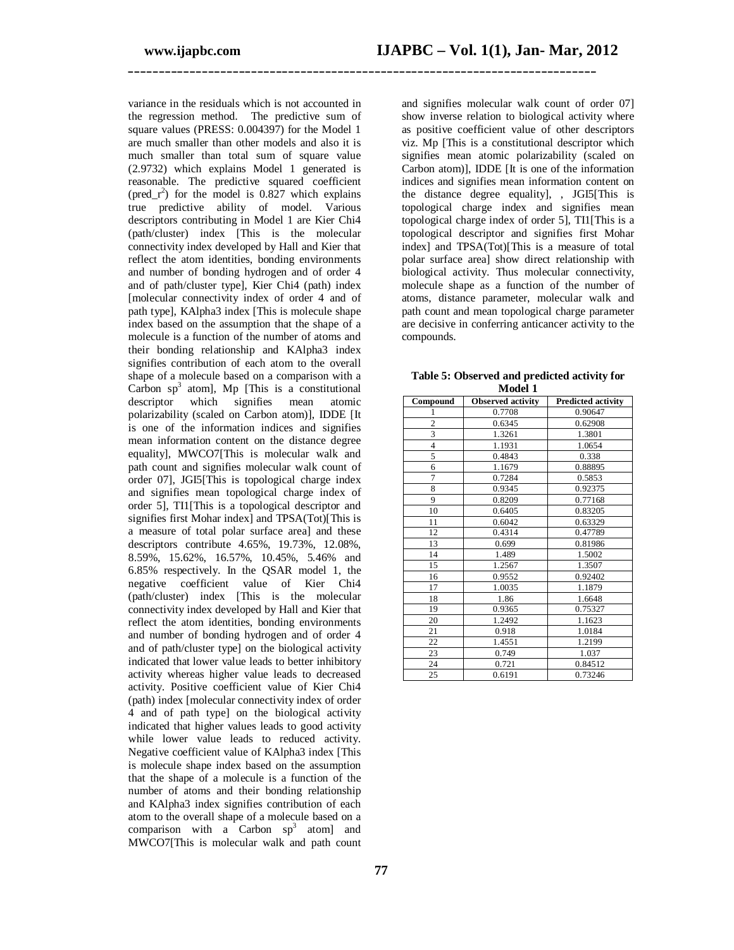variance in the residuals which is not accounted in the regression method. The predictive sum of square values (PRESS: 0.004397) for the Model 1 are much smaller than other models and also it is much smaller than total sum of square value (2.9732) which explains Model 1 generated is reasonable. The predictive squared coefficient  $(pred_r^2)$  for the model is 0.827 which explains true predictive ability of model. Various descriptors contributing in Model 1 are Kier Chi4 (path/cluster) index [This is the molecular connectivity index developed by Hall and Kier that reflect the atom identities, bonding environments and number of bonding hydrogen and of order 4 and of path/cluster type], Kier Chi4 (path) index [molecular connectivity index of order 4 and of path type], KAlpha3 index [This is molecule shape index based on the assumption that the shape of a molecule is a function of the number of atoms and their bonding relationship and KAlpha3 index signifies contribution of each atom to the overall shape of a molecule based on a comparison with a Carbon  $sp^3$  atom], Mp [This is a constitutional descriptor which signifies mean atomic polarizability (scaled on Carbon atom)], IDDE [It is one of the information indices and signifies mean information content on the distance degree equality], MWCO7[This is molecular walk and path count and signifies molecular walk count of order 07], JGI5[This is topological charge index and signifies mean topological charge index of order 5], TI1[This is a topological descriptor and signifies first Mohar index] and TPSA(Tot)[This is a measure of total polar surface area] and these descriptors contribute 4.65%, 19.73%, 12.08%, 8.59%, 15.62%, 16.57%, 10.45%, 5.46% and 6.85% respectively. In the QSAR model 1, the negative coefficient value of Kier Chi4 (path/cluster) index [This is the molecular connectivity index developed by Hall and Kier that reflect the atom identities, bonding environments and number of bonding hydrogen and of order 4 and of path/cluster type] on the biological activity indicated that lower value leads to better inhibitory activity whereas higher value leads to decreased activity. Positive coefficient value of Kier Chi4 (path) index [molecular connectivity index of order 4 and of path type] on the biological activity indicated that higher values leads to good activity while lower value leads to reduced activity. Negative coefficient value of KAlpha3 index [This is molecule shape index based on the assumption that the shape of a molecule is a function of the number of atoms and their bonding relationship and KAlpha3 index signifies contribution of each atom to the overall shape of a molecule based on a comparison with a Carbon  $sp^3$  atom] and MWCO7[This is molecular walk and path count

and signifies molecular walk count of order 07] show inverse relation to biological activity where as positive coefficient value of other descriptors viz. Mp [This is a constitutional descriptor which signifies mean atomic polarizability (scaled on Carbon atom)], IDDE [It is one of the information indices and signifies mean information content on the distance degree equality], , JGI5[This is topological charge index and signifies mean topological charge index of order 5], TI1[This is a topological descriptor and signifies first Mohar index] and TPSA(Tot)[This is a measure of total polar surface area] show direct relationship with biological activity. Thus molecular connectivity, molecule shape as a function of the number of atoms, distance parameter, molecular walk and path count and mean topological charge parameter are decisive in conferring anticancer activity to the compounds.

| Compound                | <b>Observed activity</b> | <b>Predicted activity</b> |
|-------------------------|--------------------------|---------------------------|
| 1                       | 0.7708                   | 0.90647                   |
| $\overline{2}$          | 0.6345                   | 0.62908                   |
| $\overline{\mathbf{3}}$ | 1.3261                   | 1.3801                    |
| $\overline{4}$          | 1.1931                   | 1.0654                    |
| 5                       | 0.4843                   | 0.338                     |
| 6                       | 1.1679                   | 0.88895                   |
| $\overline{7}$          | 0.7284                   | 0.5853                    |
| 8                       | 0.9345                   | 0.92375                   |
| 9                       | 0.8209                   | 0.77168                   |
| 10                      | 0.6405                   | 0.83205                   |
| 11                      | 0.6042                   | 0.63329                   |
| 12                      | 0.4314                   | 0.47789                   |
| 13                      | 0.699                    | 0.81986                   |
| 14                      | 1.489                    | 1.5002                    |
| 15                      | 1.2567                   | 1.3507                    |
| 16                      | 0.9552                   | 0.92402                   |
| 17                      | 1.0035                   | 1.1879                    |
| 18                      | 1.86                     | 1.6648                    |
| 19                      | 0.9365                   | 0.75327                   |
| 20                      | 1.2492                   | 1.1623                    |
| 21                      | 0.918                    | 1.0184                    |
| 22                      | 1.4551                   | 1.2199                    |
| 23                      | 0.749                    | 1.037                     |
| 24                      | 0.721                    | 0.84512                   |
| 25                      | 0.6191                   | 0.73246                   |

| Table 5: Observed and predicted activity for |         |  |  |
|----------------------------------------------|---------|--|--|
|                                              | Model 1 |  |  |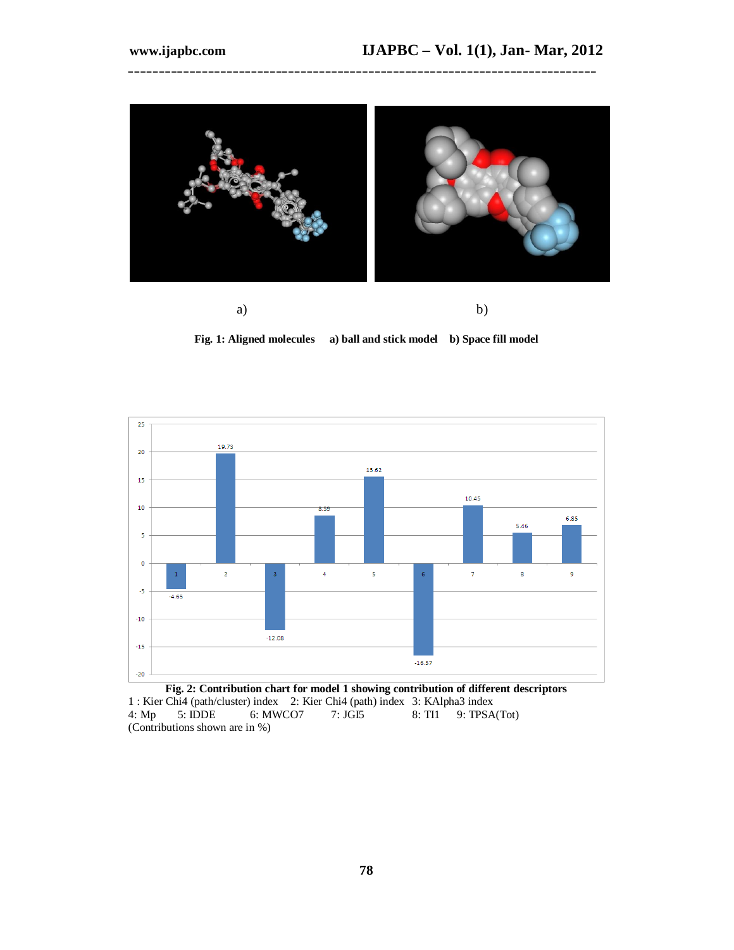



**Fig. 1: Aligned molecules a) ball and stick model b) Space fill model**



**Fig. 2: Contribution chart for model 1 showing contribution of different descriptors** 1 : Kier Chi4 (path/cluster) index 2: Kier Chi4 (path) index 3: KAlpha3 index 4: Mp 5: IDDE 6: MWCO7 7: JGI5 8: TI1 9: TPSA  $9: TPSA(Tot)$ (Contributions shown are in %)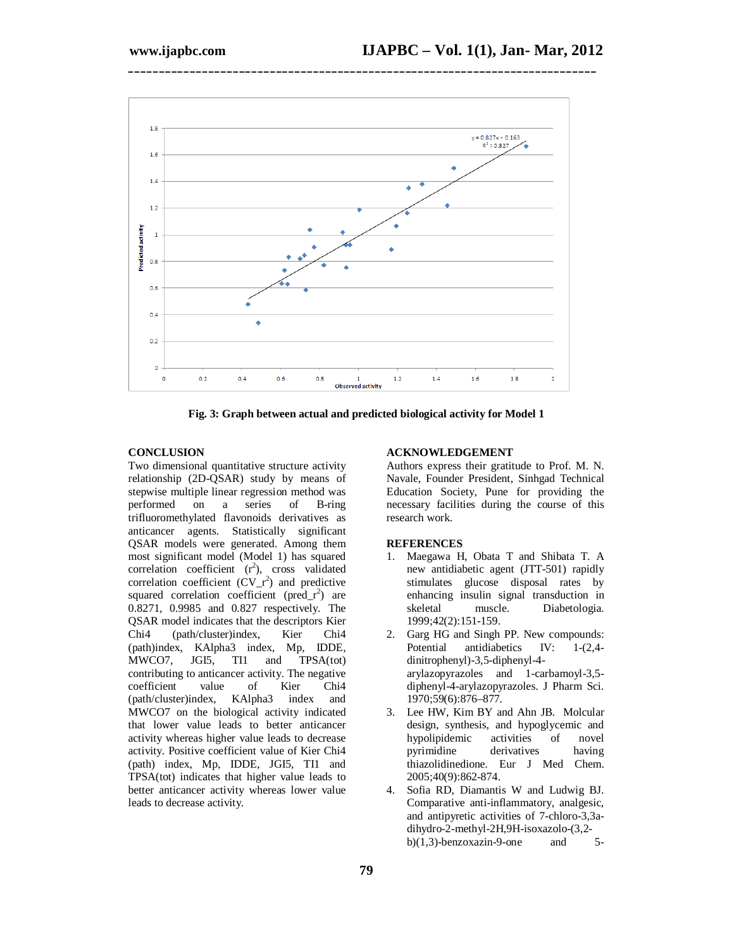

**Fig. 3: Graph between actual and predicted biological activity for Model 1**

#### **CONCLUSION**

Two dimensional quantitative structure activity relationship (2D-QSAR) study by means of stepwise multiple linear regression method was performed on a series of B-ring trifluoromethylated flavonoids derivatives as anticancer agents. Statistically significant QSAR models were generated. Among them most significant model (Model 1) has squared correlation coefficient  $(r^2)$ , cross validated correlation coefficient  $(CV_r^2)$  and predictive squared correlation coefficient ( $pred_r^2$ ) are 0.8271, 0.9985 and 0.827 respectively. The QSAR model indicates that the descriptors Kier Chi4 (path/cluster)index, Kier Chi4 (path)index, KAlpha3 index, Mp, IDDE, MWCO7, JGI5, TI1 and TPSA(tot) contributing to anticancer activity. The negative coefficient value of Kier Chi4 (path/cluster)index, KAlpha3 index and MWCO7 on the biological activity indicated that lower value leads to better anticancer activity whereas higher value leads to decrease activity. Positive coefficient value of Kier Chi4 (path) index, Mp, IDDE, JGI5, TI1 and TPSA(tot) indicates that higher value leads to better anticancer activity whereas lower value leads to decrease activity.

#### **ACKNOWLEDGEMENT**

Authors express their gratitude to Prof. M. N. Navale, Founder President, Sinhgad Technical Education Society, Pune for providing the necessary facilities during the course of this research work.

#### **REFERENCES**

- 1. Maegawa H, Obata T and Shibata T. A new antidiabetic agent (JTT-501) rapidly stimulates glucose disposal rates by enhancing insulin signal transduction in skeletal muscle. Diabetologia. 1999;42(2):151-159.
- 2. Garg HG and Singh PP. New compounds:<br>Potential antidiabetics IV: 1-(2.4antidiabetics IV:  $1-(2,4$ dinitrophenyl)-3,5-diphenyl-4 arylazopyrazoles and 1-carbamoyl-3,5 diphenyl-4-arylazopyrazoles. J Pharm Sci. 1970;59(6):876–877.
- 3. Lee HW, Kim BY and Ahn JB. Molcular design, synthesis, and hypoglycemic and hypolipidemic activities of novel pyrimidine derivatives having thiazolidinedione. Eur J Med Chem. 2005;40(9):862-874.
- 4. Sofia RD, Diamantis W and Ludwig BJ. Comparative anti-inflammatory, analgesic, and antipyretic activities of 7-chloro-3,3adihydro-2-methyl-2H,9H-isoxazolo-(3,2 b) $(1,3)$ -benzoxazin-9-one and 5-